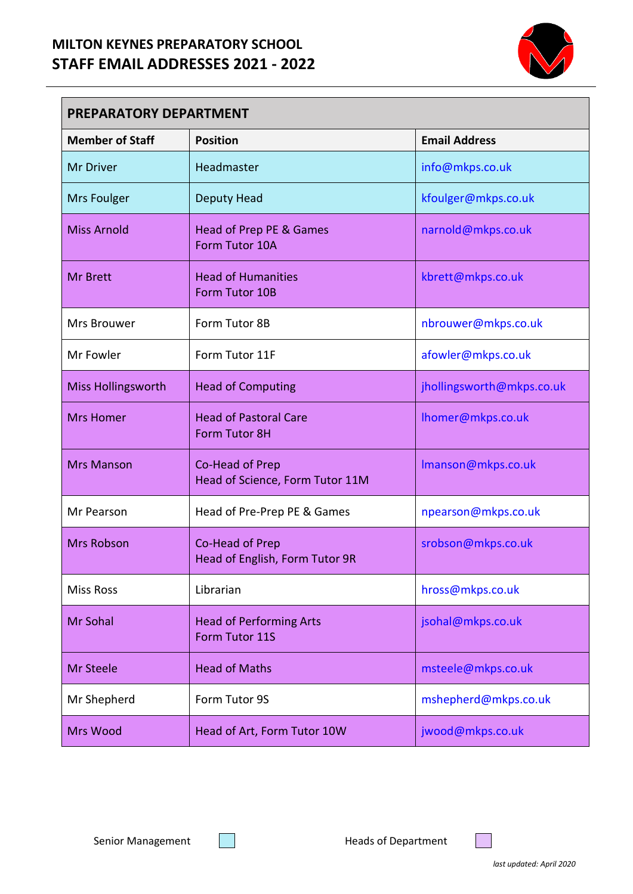## **MILTON KEYNES PREPARATORY SCHOOL STAFF EMAIL ADDRESSES 2021 - 2022**



| <b>PREPARATORY DEPARTMENT</b> |                                                    |                           |  |
|-------------------------------|----------------------------------------------------|---------------------------|--|
| <b>Member of Staff</b>        | <b>Position</b>                                    | <b>Email Address</b>      |  |
| Mr Driver                     | Headmaster                                         | info@mkps.co.uk           |  |
| Mrs Foulger                   | Deputy Head                                        | kfoulger@mkps.co.uk       |  |
| <b>Miss Arnold</b>            | Head of Prep PE & Games<br>Form Tutor 10A          | narnold@mkps.co.uk        |  |
| <b>Mr Brett</b>               | <b>Head of Humanities</b><br>Form Tutor 10B        | kbrett@mkps.co.uk         |  |
| Mrs Brouwer                   | Form Tutor 8B                                      | nbrouwer@mkps.co.uk       |  |
| Mr Fowler                     | Form Tutor 11F                                     | afowler@mkps.co.uk        |  |
| <b>Miss Hollingsworth</b>     | <b>Head of Computing</b>                           | jhollingsworth@mkps.co.uk |  |
| <b>Mrs Homer</b>              | <b>Head of Pastoral Care</b><br>Form Tutor 8H      | Ihomer@mkps.co.uk         |  |
| <b>Mrs Manson</b>             | Co-Head of Prep<br>Head of Science, Form Tutor 11M | Imanson@mkps.co.uk        |  |
| Mr Pearson                    | Head of Pre-Prep PE & Games                        | npearson@mkps.co.uk       |  |
| <b>Mrs Robson</b>             | Co-Head of Prep<br>Head of English, Form Tutor 9R  | srobson@mkps.co.uk        |  |
| <b>Miss Ross</b>              | Librarian                                          | hross@mkps.co.uk          |  |
| Mr Sohal                      | <b>Head of Performing Arts</b><br>Form Tutor 11S   | jsohal@mkps.co.uk         |  |
| Mr Steele                     | <b>Head of Maths</b>                               | msteele@mkps.co.uk        |  |
| Mr Shepherd                   | Form Tutor 9S                                      | mshepherd@mkps.co.uk      |  |
| Mrs Wood                      | Head of Art, Form Tutor 10W                        | jwood@mkps.co.uk          |  |